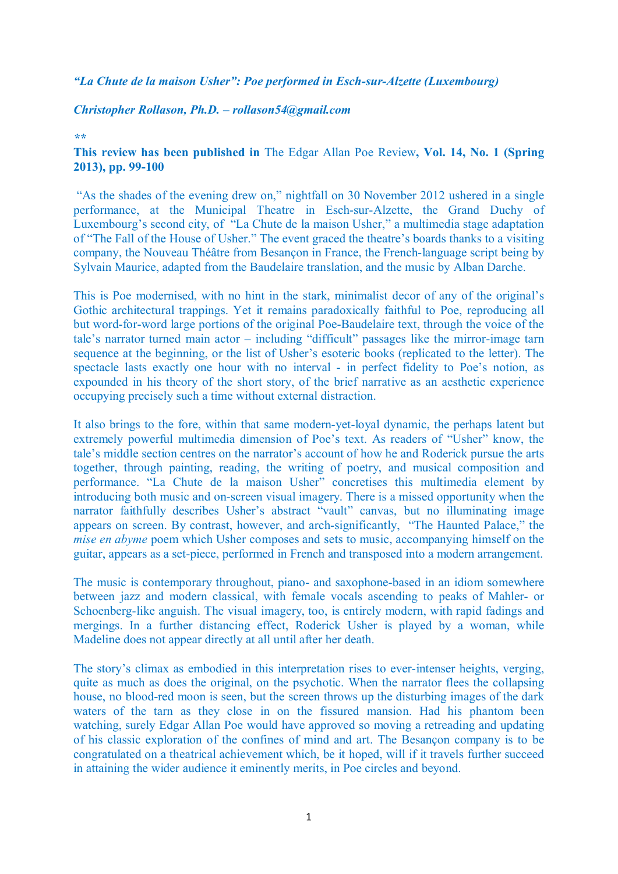## *"La Chute de la maison Usher": Poe performed in Esch-sur-Alzette (Luxembourg)*

## *Christopher Rollason, Ph.D. – rollason54@gmail.com*

## *\*\**

## **This review has been published in** The Edgar Allan Poe Review**, Vol. 14, No. 1 (Spring 2013), pp. 99-100**

"As the shades of the evening drew on," nightfall on 30 November 2012 ushered in a single performance, at the Municipal Theatre in Esch-sur-Alzette, the Grand Duchy of Luxembourg's second city, of "La Chute de la maison Usher," a multimedia stage adaptation of "The Fall of the House of Usher." The event graced the theatre's boards thanks to a visiting company, the Nouveau Théâtre from Besançon in France, the French-language script being by Sylvain Maurice, adapted from the Baudelaire translation, and the music by Alban Darche.

This is Poe modernised, with no hint in the stark, minimalist decor of any of the original's Gothic architectural trappings. Yet it remains paradoxically faithful to Poe, reproducing all but word-for-word large portions of the original Poe-Baudelaire text, through the voice of the tale's narrator turned main actor – including "difficult" passages like the mirror-image tarn sequence at the beginning, or the list of Usher's esoteric books (replicated to the letter). The spectacle lasts exactly one hour with no interval - in perfect fidelity to Poe's notion, as expounded in his theory of the short story, of the brief narrative as an aesthetic experience occupying precisely such a time without external distraction.

It also brings to the fore, within that same modern-yet-loyal dynamic, the perhaps latent but extremely powerful multimedia dimension of Poe's text. As readers of "Usher" know, the tale's middle section centres on the narrator's account of how he and Roderick pursue the arts together, through painting, reading, the writing of poetry, and musical composition and performance. "La Chute de la maison Usher" concretises this multimedia element by introducing both music and on-screen visual imagery. There is a missed opportunity when the narrator faithfully describes Usher's abstract "vault" canvas, but no illuminating image appears on screen. By contrast, however, and arch-significantly, "The Haunted Palace," the *mise en abyme* poem which Usher composes and sets to music, accompanying himself on the guitar, appears as a set-piece, performed in French and transposed into a modern arrangement.

The music is contemporary throughout, piano- and saxophone-based in an idiom somewhere between jazz and modern classical, with female vocals ascending to peaks of Mahler- or Schoenberg-like anguish. The visual imagery, too, is entirely modern, with rapid fadings and mergings. In a further distancing effect, Roderick Usher is played by a woman, while Madeline does not appear directly at all until after her death.

The story's climax as embodied in this interpretation rises to ever-intenser heights, verging, quite as much as does the original, on the psychotic. When the narrator flees the collapsing house, no blood-red moon is seen, but the screen throws up the disturbing images of the dark waters of the tarn as they close in on the fissured mansion. Had his phantom been watching, surely Edgar Allan Poe would have approved so moving a retreading and updating of his classic exploration of the confines of mind and art. The Besançon company is to be congratulated on a theatrical achievement which, be it hoped, will if it travels further succeed in attaining the wider audience it eminently merits, in Poe circles and beyond.